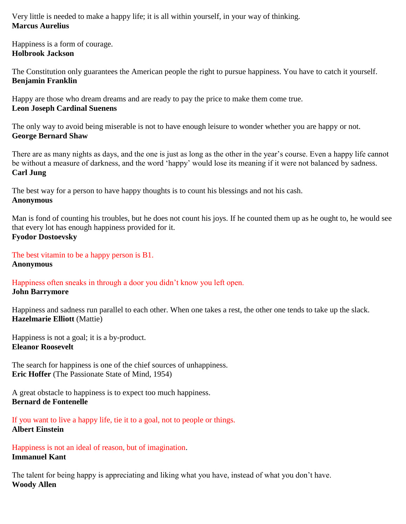Very little is needed to make a happy life; it is all within yourself, in your way of thinking. **Marcus Aurelius**

Happiness is a form of courage. **Holbrook Jackson**

The Constitution only guarantees the American people the right to pursue happiness. You have to catch it yourself. **Benjamin Franklin**

Happy are those who dream dreams and are ready to pay the price to make them come true. **Leon Joseph Cardinal Suenens**

The only way to avoid being miserable is not to have enough leisure to wonder whether you are happy or not. **George Bernard Shaw**

There are as many nights as days, and the one is just as long as the other in the year's course. Even a happy life cannot be without a measure of darkness, and the word 'happy' would lose its meaning if it were not balanced by sadness. **Carl Jung**

The best way for a person to have happy thoughts is to count his blessings and not his cash. **Anonymous**

Man is fond of counting his troubles, but he does not count his joys. If he counted them up as he ought to, he would see that every lot has enough happiness provided for it. **Fyodor Dostoevsky**

The best vitamin to be a happy person is B1. **Anonymous**

Happiness often sneaks in through a door you didn't know you left open. **John Barrymore**

Happiness and sadness run parallel to each other. When one takes a rest, the other one tends to take up the slack. **Hazelmarie Elliott** (Mattie)

Happiness is not a goal; it is a by-product. **Eleanor Roosevelt**

The search for happiness is one of the chief sources of unhappiness. **Eric Hoffer** (The Passionate State of Mind, 1954)

A great obstacle to happiness is to expect too much happiness. **Bernard de Fontenelle**

If you want to live a happy life, tie it to a goal, not to people or things. **Albert Einstein**

Happiness is not an ideal of reason, but of imagination. **Immanuel Kant**

The talent for being happy is appreciating and liking what you have, instead of what you don't have. **Woody Allen**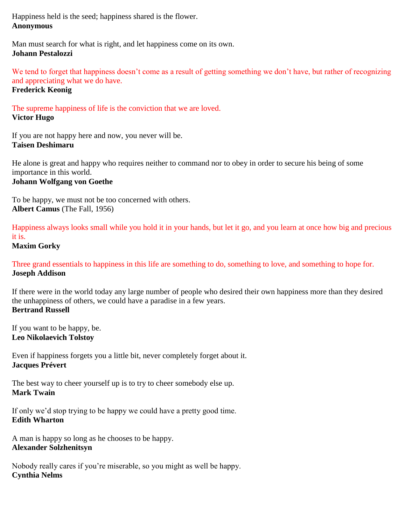Happiness held is the seed; happiness shared is the flower. **Anonymous**

Man must search for what is right, and let happiness come on its own. **Johann Pestalozzi**

We tend to forget that happiness doesn't come as a result of getting something we don't have, but rather of recognizing and appreciating what we do have. **Frederick Keonig**

The supreme happiness of life is the conviction that we are loved. **Victor Hugo**

If you are not happy here and now, you never will be. **Taisen Deshimaru**

He alone is great and happy who requires neither to command nor to obey in order to secure his being of some importance in this world. **Johann Wolfgang von Goethe**

To be happy, we must not be too concerned with others. **Albert Camus** (The Fall, 1956)

Happiness always looks small while you hold it in your hands, but let it go, and you learn at once how big and precious it is.

#### **Maxim Gorky**

Three grand essentials to happiness in this life are something to do, something to love, and something to hope for. **Joseph Addison**

If there were in the world today any large number of people who desired their own happiness more than they desired the unhappiness of others, we could have a paradise in a few years. **Bertrand Russell**

If you want to be happy, be. **Leo Nikolaevich Tolstoy**

Even if happiness forgets you a little bit, never completely forget about it. **Jacques Prévert**

The best way to cheer yourself up is to try to cheer somebody else up. **Mark Twain**

If only we'd stop trying to be happy we could have a pretty good time. **Edith Wharton**

A man is happy so long as he chooses to be happy. **Alexander Solzhenitsyn**

Nobody really cares if you're miserable, so you might as well be happy. **Cynthia Nelms**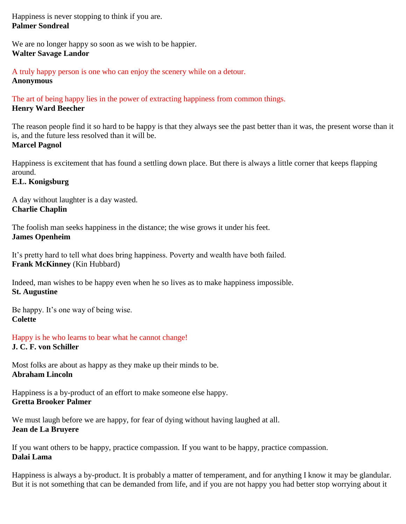Happiness is never stopping to think if you are. **Palmer Sondreal**

We are no longer happy so soon as we wish to be happier. **Walter Savage Landor**

A truly happy person is one who can enjoy the scenery while on a detour. **Anonymous**

The art of being happy lies in the power of extracting happiness from common things. **Henry Ward Beecher**

The reason people find it so hard to be happy is that they always see the past better than it was, the present worse than it is, and the future less resolved than it will be. **Marcel Pagnol**

Happiness is excitement that has found a settling down place. But there is always a little corner that keeps flapping around.

**E.L. Konigsburg**

A day without laughter is a day wasted. **Charlie Chaplin**

The foolish man seeks happiness in the distance; the wise grows it under his feet. **James Openheim**

It's pretty hard to tell what does bring happiness. Poverty and wealth have both failed. **Frank McKinney** (Kin Hubbard)

Indeed, man wishes to be happy even when he so lives as to make happiness impossible. **St. Augustine**

Be happy. It's one way of being wise. **Colette**

Happy is he who learns to bear what he cannot change! **J. C. F. von Schiller**

Most folks are about as happy as they make up their minds to be. **Abraham Lincoln**

Happiness is a by-product of an effort to make someone else happy. **Gretta Brooker Palmer**

We must laugh before we are happy, for fear of dying without having laughed at all. **Jean de La Bruyere**

If you want others to be happy, practice compassion. If you want to be happy, practice compassion. **Dalai Lama**

Happiness is always a by-product. It is probably a matter of temperament, and for anything I know it may be glandular. But it is not something that can be demanded from life, and if you are not happy you had better stop worrying about it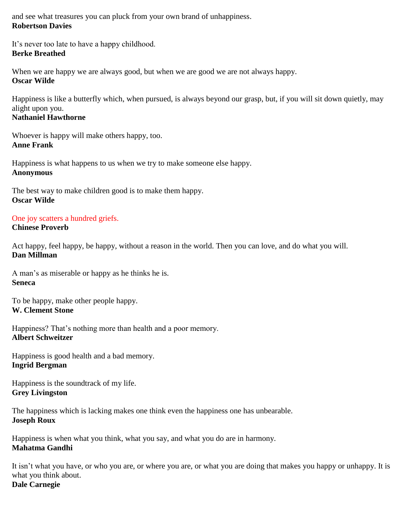and see what treasures you can pluck from your own brand of unhappiness. **Robertson Davies**

It's never too late to have a happy childhood. **Berke Breathed**

When we are happy we are always good, but when we are good we are not always happy. **Oscar Wilde**

Happiness is like a butterfly which, when pursued, is always beyond our grasp, but, if you will sit down quietly, may alight upon you.

# **Nathaniel Hawthorne**

Whoever is happy will make others happy, too. **Anne Frank**

Happiness is what happens to us when we try to make someone else happy. **Anonymous**

The best way to make children good is to make them happy. **Oscar Wilde**

#### One joy scatters a hundred griefs. **Chinese Proverb**

Act happy, feel happy, be happy, without a reason in the world. Then you can love, and do what you will. **Dan Millman**

A man's as miserable or happy as he thinks he is. **Seneca**

To be happy, make other people happy. **W. Clement Stone**

Happiness? That's nothing more than health and a poor memory. **Albert Schweitzer**

Happiness is good health and a bad memory. **Ingrid Bergman**

Happiness is the soundtrack of my life. **Grey Livingston**

The happiness which is lacking makes one think even the happiness one has unbearable. **Joseph Roux**

Happiness is when what you think, what you say, and what you do are in harmony. **Mahatma Gandhi**

It isn't what you have, or who you are, or where you are, or what you are doing that makes you happy or unhappy. It is what you think about. **Dale Carnegie**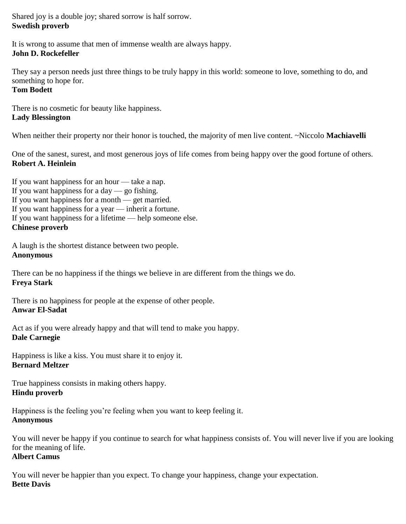Shared joy is a double joy; shared sorrow is half sorrow. **Swedish proverb**

It is wrong to assume that men of immense wealth are always happy. **John D. Rockefeller**

They say a person needs just three things to be truly happy in this world: someone to love, something to do, and something to hope for. **Tom Bodett**

There is no cosmetic for beauty like happiness. **Lady Blessington**

When neither their property nor their honor is touched, the majority of men live content. ~Niccolo **Machiavelli** 

One of the sanest, surest, and most generous joys of life comes from being happy over the good fortune of others. **Robert A. Heinlein**

If you want happiness for an hour — take a nap. If you want happiness for a day  $-$  go fishing. If you want happiness for a month — get married. If you want happiness for a year — inherit a fortune. If you want happiness for a lifetime — help someone else. **Chinese proverb**

A laugh is the shortest distance between two people. **Anonymous**

There can be no happiness if the things we believe in are different from the things we do. **Freya Stark**

There is no happiness for people at the expense of other people. **Anwar El-Sadat**

Act as if you were already happy and that will tend to make you happy. **Dale Carnegie**

Happiness is like a kiss. You must share it to enjoy it. **Bernard Meltzer**

True happiness consists in making others happy. **Hindu proverb**

Happiness is the feeling you're feeling when you want to keep feeling it. **Anonymous**

You will never be happy if you continue to search for what happiness consists of. You will never live if you are looking for the meaning of life. **Albert Camus**

# You will never be happier than you expect. To change your happiness, change your expectation. **Bette Davis**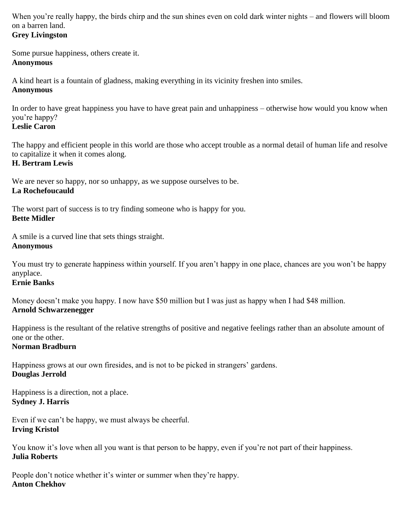When you're really happy, the birds chirp and the sun shines even on cold dark winter nights – and flowers will bloom on a barren land.

# **Grey Livingston**

Some pursue happiness, others create it. **Anonymous**

A kind heart is a fountain of gladness, making everything in its vicinity freshen into smiles.

# **Anonymous**

In order to have great happiness you have to have great pain and unhappiness – otherwise how would you know when you're happy? **Leslie Caron**

The happy and efficient people in this world are those who accept trouble as a normal detail of human life and resolve to capitalize it when it comes along.

# **H. Bertram Lewis**

We are never so happy, nor so unhappy, as we suppose ourselves to be. **La Rochefoucauld**

The worst part of success is to try finding someone who is happy for you. **Bette Midler**

A smile is a curved line that sets things straight. **Anonymous**

You must try to generate happiness within yourself. If you aren't happy in one place, chances are you won't be happy anyplace.

# **Ernie Banks**

Money doesn't make you happy. I now have \$50 million but I was just as happy when I had \$48 million. **Arnold Schwarzenegger**

Happiness is the resultant of the relative strengths of positive and negative feelings rather than an absolute amount of one or the other.

# **Norman Bradburn**

Happiness grows at our own firesides, and is not to be picked in strangers' gardens. **Douglas Jerrold**

Happiness is a direction, not a place. **Sydney J. Harris**

Even if we can't be happy, we must always be cheerful. **Irving Kristol**

You know it's love when all you want is that person to be happy, even if you're not part of their happiness. **Julia Roberts**

People don't notice whether it's winter or summer when they're happy. **Anton Chekhov**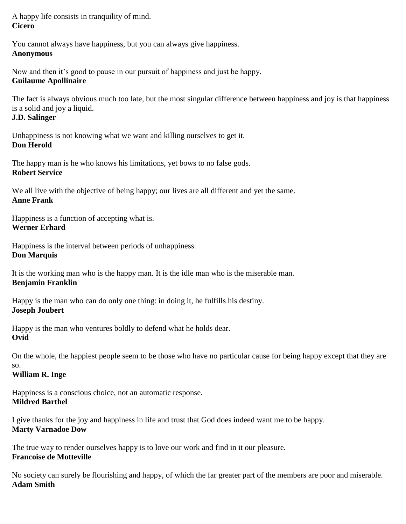A happy life consists in tranquility of mind. **Cicero**

You cannot always have happiness, but you can always give happiness. **Anonymous**

Now and then it's good to pause in our pursuit of happiness and just be happy. **Guilaume Apollinaire**

The fact is always obvious much too late, but the most singular difference between happiness and joy is that happiness is a solid and joy a liquid.

# **J.D. Salinger**

Unhappiness is not knowing what we want and killing ourselves to get it. **Don Herold**

The happy man is he who knows his limitations, yet bows to no false gods. **Robert Service**

We all live with the objective of being happy; our lives are all different and yet the same. **Anne Frank**

Happiness is a function of accepting what is. **Werner Erhard**

Happiness is the interval between periods of unhappiness. **Don Marquis**

It is the working man who is the happy man. It is the idle man who is the miserable man. **Benjamin Franklin**

Happy is the man who can do only one thing: in doing it, he fulfills his destiny. **Joseph Joubert**

Happy is the man who ventures boldly to defend what he holds dear. **Ovid**

On the whole, the happiest people seem to be those who have no particular cause for being happy except that they are so.

#### **William R. Inge**

Happiness is a conscious choice, not an automatic response. **Mildred Barthel**

I give thanks for the joy and happiness in life and trust that God does indeed want me to be happy. **Marty Varnadoe Dow**

The true way to render ourselves happy is to love our work and find in it our pleasure. **Francoise de Motteville**

No society can surely be flourishing and happy, of which the far greater part of the members are poor and miserable. **Adam Smith**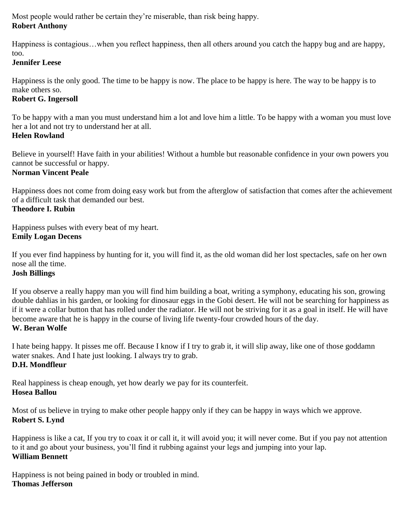Most people would rather be certain they're miserable, than risk being happy. **Robert Anthony**

Happiness is contagious…when you reflect happiness, then all others around you catch the happy bug and are happy, too.

# **Jennifer Leese**

Happiness is the only good. The time to be happy is now. The place to be happy is here. The way to be happy is to make others so.

# **Robert G. Ingersoll**

To be happy with a man you must understand him a lot and love him a little. To be happy with a woman you must love her a lot and not try to understand her at all.

# **Helen Rowland**

Believe in yourself! Have faith in your abilities! Without a humble but reasonable confidence in your own powers you cannot be successful or happy.

#### **Norman Vincent Peale**

Happiness does not come from doing easy work but from the afterglow of satisfaction that comes after the achievement of a difficult task that demanded our best. **Theodore I. Rubin**

Happiness pulses with every beat of my heart. **Emily Logan Decens**

If you ever find happiness by hunting for it, you will find it, as the old woman did her lost spectacles, safe on her own nose all the time.

# **Josh Billings**

If you observe a really happy man you will find him building a boat, writing a symphony, educating his son, growing double dahlias in his garden, or looking for dinosaur eggs in the Gobi desert. He will not be searching for happiness as if it were a collar button that has rolled under the radiator. He will not be striving for it as a goal in itself. He will have become aware that he is happy in the course of living life twenty-four crowded hours of the day. **W. Beran Wolfe**

I hate being happy. It pisses me off. Because I know if I try to grab it, it will slip away, like one of those goddamn water snakes. And I hate just looking. I always try to grab. **D.H. Mondfleur**

Real happiness is cheap enough, yet how dearly we pay for its counterfeit. **Hosea Ballou**

Most of us believe in trying to make other people happy only if they can be happy in ways which we approve. **Robert S. Lynd**

Happiness is like a cat, If you try to coax it or call it, it will avoid you; it will never come. But if you pay not attention to it and go about your business, you'll find it rubbing against your legs and jumping into your lap. **William Bennett**

Happiness is not being pained in body or troubled in mind. **Thomas Jefferson**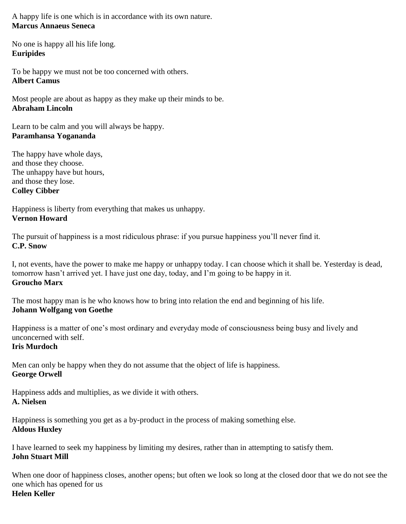A happy life is one which is in accordance with its own nature. **Marcus Annaeus Seneca**

No one is happy all his life long. **Euripides**

To be happy we must not be too concerned with others. **Albert Camus**

Most people are about as happy as they make up their minds to be. **Abraham Lincoln**

Learn to be calm and you will always be happy. **Paramhansa Yogananda**

The happy have whole days, and those they choose. The unhappy have but hours, and those they lose. **Colley Cibber**

Happiness is liberty from everything that makes us unhappy. **Vernon Howard**

The pursuit of happiness is a most ridiculous phrase: if you pursue happiness you'll never find it. **C.P. Snow**

I, not events, have the power to make me happy or unhappy today. I can choose which it shall be. Yesterday is dead, tomorrow hasn't arrived yet. I have just one day, today, and I'm going to be happy in it. **Groucho Marx**

The most happy man is he who knows how to bring into relation the end and beginning of his life. **Johann Wolfgang von Goethe**

Happiness is a matter of one's most ordinary and everyday mode of consciousness being busy and lively and unconcerned with self. **Iris Murdoch**

Men can only be happy when they do not assume that the object of life is happiness. **George Orwell**

Happiness adds and multiplies, as we divide it with others. **A. Nielsen**

Happiness is something you get as a by-product in the process of making something else. **Aldous Huxley**

I have learned to seek my happiness by limiting my desires, rather than in attempting to satisfy them. **John Stuart Mill**

When one door of happiness closes, another opens; but often we look so long at the closed door that we do not see the one which has opened for us

# **Helen Keller**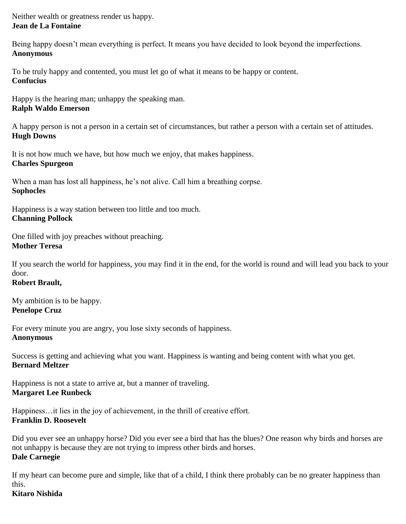Neither wealth or greatness render us happy. **Jean de La Fontaine**

Being happy doesn't mean everything is perfect. It means you have decided to look beyond the imperfections. **Anonymous**

To be truly happy and contented, you must let go of what it means to be happy or content. **Confucius**

Happy is the hearing man; unhappy the speaking man. **Ralph Waldo Emerson**

A happy person is not a person in a certain set of circumstances, but rather a person with a certain set of attitudes. **Hugh Downs**

It is not how much we have, but how much we enjoy, that makes happiness. **Charles Spurgeon**

When a man has lost all happiness, he's not alive. Call him a breathing corpse. **Sophocles**

Happiness is a way station between too little and too much. **Channing Pollock**

One filled with joy preaches without preaching. **Mother Teresa**

If you search the world for happiness, you may find it in the end, for the world is round and will lead you back to your door.

#### **Robert Brault,**

My ambition is to be happy. **Penelope Cruz**

For every minute you are angry, you lose sixty seconds of happiness. **Anonymous**

Success is getting and achieving what you want. Happiness is wanting and being content with what you get. **Bernard Meltzer**

Happiness is not a state to arrive at, but a manner of traveling. **Margaret Lee Runbeck**

Happiness…it lies in the joy of achievement, in the thrill of creative effort. **Franklin D. Roosevelt**

Did you ever see an unhappy horse? Did you ever see a bird that has the blues? One reason why birds and horses are not unhappy is because they are not trying to impress other birds and horses. **Dale Carnegie**

If my heart can become pure and simple, like that of a child, I think there probably can be no greater happiness than this.

# **Kitaro Nishida**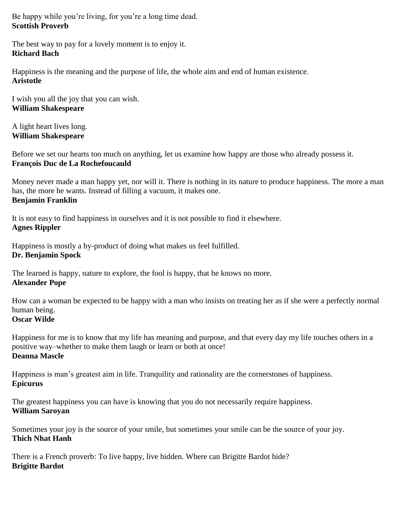Be happy while you're living, for you're a long time dead. **Scottish Proverb**

The best way to pay for a lovely moment is to enjoy it. **Richard Bach**

Happiness is the meaning and the purpose of life, the whole aim and end of human existence. **Aristotle**

I wish you all the joy that you can wish. **William Shakespeare**

A light heart lives long. **William Shakespeare**

Before we set our hearts too much on anything, let us examine how happy are those who already possess it. **François Duc de La Rochefoucauld**

Money never made a man happy yet, nor will it. There is nothing in its nature to produce happiness. The more a man has, the more he wants. Instead of filling a vacuum, it makes one. **Benjamin Franklin**

It is not easy to find happiness in ourselves and it is not possible to find it elsewhere. **Agnes Rippler**

Happiness is mostly a by-product of doing what makes us feel fulfilled. **Dr. Benjamin Spock**

The learned is happy, nature to explore, the fool is happy, that he knows no more. **Alexander Pope**

How can a woman be expected to be happy with a man who insists on treating her as if she were a perfectly normal human being.

# **Oscar Wilde**

Happiness for me is to know that my life has meaning and purpose, and that every day my life touches others in a positive way–whether to make them laugh or learn or both at once! **Deanna Mascle**

Happiness is man's greatest aim in life. Tranquility and rationality are the cornerstones of happiness. **Epicurus**

The greatest happiness you can have is knowing that you do not necessarily require happiness. **William Saroyan**

Sometimes your joy is the source of your smile, but sometimes your smile can be the source of your joy. **Thich Nhat Hanh**

There is a French proverb: To live happy, live hidden. Where can Brigitte Bardot hide? **Brigitte Bardot**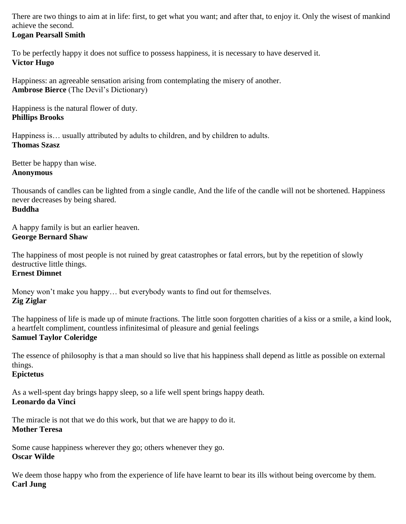There are two things to aim at in life: first, to get what you want; and after that, to enjoy it. Only the wisest of mankind achieve the second.

# **Logan Pearsall Smith**

To be perfectly happy it does not suffice to possess happiness, it is necessary to have deserved it. **Victor Hugo**

Happiness: an agreeable sensation arising from contemplating the misery of another. **Ambrose Bierce** (The Devil's Dictionary)

Happiness is the natural flower of duty. **Phillips Brooks**

Happiness is… usually attributed by adults to children, and by children to adults. **Thomas Szasz**

Better be happy than wise. **Anonymous**

Thousands of candles can be lighted from a single candle, And the life of the candle will not be shortened. Happiness never decreases by being shared.

### **Buddha**

A happy family is but an earlier heaven. **George Bernard Shaw**

The happiness of most people is not ruined by great catastrophes or fatal errors, but by the repetition of slowly destructive little things.

# **Ernest Dimnet**

Money won't make you happy… but everybody wants to find out for themselves. **Zig Ziglar**

The happiness of life is made up of minute fractions. The little soon forgotten charities of a kiss or a smile, a kind look, a heartfelt compliment, countless infinitesimal of pleasure and genial feelings **Samuel Taylor Coleridge**

The essence of philosophy is that a man should so live that his happiness shall depend as little as possible on external things.

# **Epictetus**

As a well-spent day brings happy sleep, so a life well spent brings happy death. **Leonardo da Vinci**

The miracle is not that we do this work, but that we are happy to do it. **Mother Teresa**

Some cause happiness wherever they go; others whenever they go. **Oscar Wilde**

We deem those happy who from the experience of life have learnt to bear its ills without being overcome by them. **Carl Jung**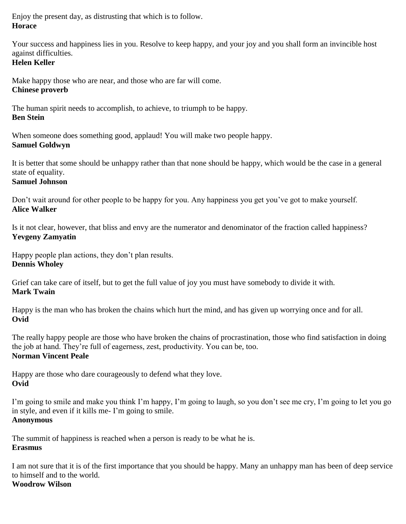Enjoy the present day, as distrusting that which is to follow. **Horace**

Your success and happiness lies in you. Resolve to keep happy, and your joy and you shall form an invincible host against difficulties.

# **Helen Keller**

Make happy those who are near, and those who are far will come. **Chinese proverb**

The human spirit needs to accomplish, to achieve, to triumph to be happy. **Ben Stein**

When someone does something good, applaud! You will make two people happy. **Samuel Goldwyn**

It is better that some should be unhappy rather than that none should be happy, which would be the case in a general state of equality. **Samuel Johnson**

Don't wait around for other people to be happy for you. Any happiness you get you've got to make yourself. **Alice Walker**

Is it not clear, however, that bliss and envy are the numerator and denominator of the fraction called happiness? **Yevgeny Zamyatin**

Happy people plan actions, they don't plan results. **Dennis Wholey**

Grief can take care of itself, but to get the full value of joy you must have somebody to divide it with. **Mark Twain**

Happy is the man who has broken the chains which hurt the mind, and has given up worrying once and for all. **Ovid**

The really happy people are those who have broken the chains of procrastination, those who find satisfaction in doing the job at hand. They're full of eagerness, zest, productivity. You can be, too. **Norman Vincent Peale**

Happy are those who dare courageously to defend what they love. **Ovid**

I'm going to smile and make you think I'm happy, I'm going to laugh, so you don't see me cry, I'm going to let you go in style, and even if it kills me- I'm going to smile. **Anonymous**

The summit of happiness is reached when a person is ready to be what he is. **Erasmus**

I am not sure that it is of the first importance that you should be happy. Many an unhappy man has been of deep service to himself and to the world. **Woodrow Wilson**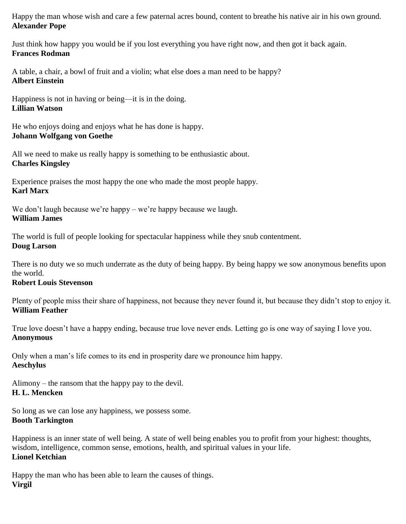Happy the man whose wish and care a few paternal acres bound, content to breathe his native air in his own ground. **Alexander Pope**

Just think how happy you would be if you lost everything you have right now, and then got it back again. **Frances Rodman**

A table, a chair, a bowl of fruit and a violin; what else does a man need to be happy? **Albert Einstein**

Happiness is not in having or being—it is in the doing. **Lillian Watson**

He who enjoys doing and enjoys what he has done is happy. **Johann Wolfgang von Goethe**

All we need to make us really happy is something to be enthusiastic about. **Charles Kingsley**

Experience praises the most happy the one who made the most people happy. **Karl Marx**

We don't laugh because we're happy – we're happy because we laugh. **William James**

The world is full of people looking for spectacular happiness while they snub contentment. **Doug Larson**

There is no duty we so much underrate as the duty of being happy. By being happy we sow anonymous benefits upon the world.

# **Robert Louis Stevenson**

Plenty of people miss their share of happiness, not because they never found it, but because they didn't stop to enjoy it. **William Feather**

True love doesn't have a happy ending, because true love never ends. Letting go is one way of saying I love you. **Anonymous**

Only when a man's life comes to its end in prosperity dare we pronounce him happy. **Aeschylus**

Alimony – the ransom that the happy pay to the devil. **H. L. Mencken**

So long as we can lose any happiness, we possess some. **Booth Tarkington**

Happiness is an inner state of well being. A state of well being enables you to profit from your highest: thoughts, wisdom, intelligence, common sense, emotions, health, and spiritual values in your life. **Lionel Ketchian**

Happy the man who has been able to learn the causes of things. **Virgil**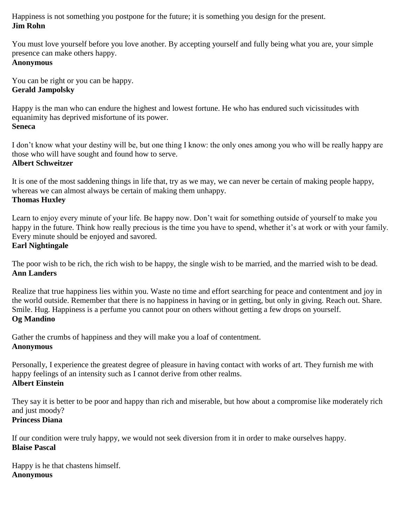Happiness is not something you postpone for the future; it is something you design for the present. **Jim Rohn**

You must love yourself before you love another. By accepting yourself and fully being what you are, your simple presence can make others happy.

# **Anonymous**

You can be right or you can be happy. **Gerald Jampolsky**

Happy is the man who can endure the highest and lowest fortune. He who has endured such vicissitudes with equanimity has deprived misfortune of its power. **Seneca**

I don't know what your destiny will be, but one thing I know: the only ones among you who will be really happy are those who will have sought and found how to serve. **Albert Schweitzer**

It is one of the most saddening things in life that, try as we may, we can never be certain of making people happy, whereas we can almost always be certain of making them unhappy.

# **Thomas Huxley**

Learn to enjoy every minute of your life. Be happy now. Don't wait for something outside of yourself to make you happy in the future. Think how really precious is the time you have to spend, whether it's at work or with your family. Every minute should be enjoyed and savored.

# **Earl Nightingale**

The poor wish to be rich, the rich wish to be happy, the single wish to be married, and the married wish to be dead. **Ann Landers**

Realize that true happiness lies within you. Waste no time and effort searching for peace and contentment and joy in the world outside. Remember that there is no happiness in having or in getting, but only in giving. Reach out. Share. Smile. Hug. Happiness is a perfume you cannot pour on others without getting a few drops on yourself. **Og Mandino**

Gather the crumbs of happiness and they will make you a loaf of contentment. **Anonymous**

Personally, I experience the greatest degree of pleasure in having contact with works of art. They furnish me with happy feelings of an intensity such as I cannot derive from other realms. **Albert Einstein**

They say it is better to be poor and happy than rich and miserable, but how about a compromise like moderately rich and just moody?

# **Princess Diana**

If our condition were truly happy, we would not seek diversion from it in order to make ourselves happy. **Blaise Pascal**

Happy is he that chastens himself. **Anonymous**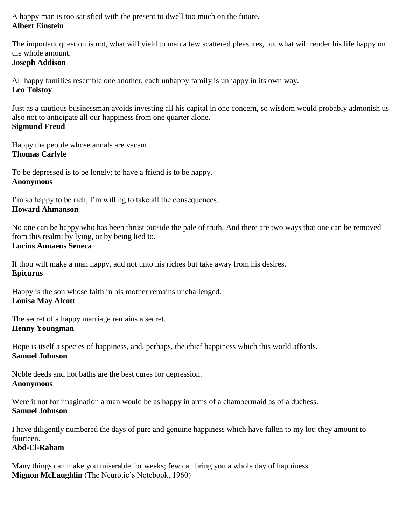A happy man is too satisfied with the present to dwell too much on the future. **Albert Einstein**

The important question is not, what will yield to man a few scattered pleasures, but what will render his life happy on the whole amount.

# **Joseph Addison**

All happy families resemble one another, each unhappy family is unhappy in its own way. **Leo Tolstoy**

Just as a cautious businessman avoids investing all his capital in one concern, so wisdom would probably admonish us also not to anticipate all our happiness from one quarter alone. **Sigmund Freud**

Happy the people whose annals are vacant. **Thomas Carlyle**

To be depressed is to be lonely; to have a friend is to be happy. **Anonymous**

I'm so happy to be rich, I'm willing to take all the consequences. **Howard Ahmanson**

No one can be happy who has been thrust outside the pale of truth. And there are two ways that one can be removed from this realm: by lying, or by being lied to.

# **Lucius Annaeus Seneca**

If thou wilt make a man happy, add not unto his riches but take away from his desires. **Epicurus**

Happy is the son whose faith in his mother remains unchallenged. **Louisa May Alcott**

The secret of a happy marriage remains a secret. **Henny Youngman**

Hope is itself a species of happiness, and, perhaps, the chief happiness which this world affords. **Samuel Johnson**

Noble deeds and hot baths are the best cures for depression. **Anonymous**

Were it not for imagination a man would be as happy in arms of a chambermaid as of a duchess. **Samuel Johnson**

I have diligently numbered the days of pure and genuine happiness which have fallen to my lot: they amount to fourteen.

# **Abd-El-Raham**

Many things can make you miserable for weeks; few can bring you a whole day of happiness. **Mignon McLaughlin** (The Neurotic's Notebook, 1960)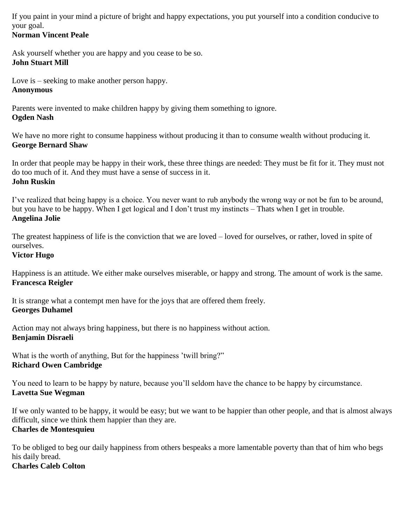If you paint in your mind a picture of bright and happy expectations, you put yourself into a condition conducive to your goal.

# **Norman Vincent Peale**

Ask yourself whether you are happy and you cease to be so. **John Stuart Mill**

Love is – seeking to make another person happy. **Anonymous**

Parents were invented to make children happy by giving them something to ignore. **Ogden Nash**

We have no more right to consume happiness without producing it than to consume wealth without producing it. **George Bernard Shaw**

In order that people may be happy in their work, these three things are needed: They must be fit for it. They must not do too much of it. And they must have a sense of success in it. **John Ruskin**

I've realized that being happy is a choice. You never want to rub anybody the wrong way or not be fun to be around, but you have to be happy. When I get logical and I don't trust my instincts – Thats when I get in trouble. **Angelina Jolie**

The greatest happiness of life is the conviction that we are loved – loved for ourselves, or rather, loved in spite of ourselves.

# **Victor Hugo**

Happiness is an attitude. We either make ourselves miserable, or happy and strong. The amount of work is the same. **Francesca Reigler**

It is strange what a contempt men have for the joys that are offered them freely. **Georges Duhamel**

Action may not always bring happiness, but there is no happiness without action. **Benjamin Disraeli**

What is the worth of anything, But for the happiness 'twill bring?" **Richard Owen Cambridge**

You need to learn to be happy by nature, because you'll seldom have the chance to be happy by circumstance. **Lavetta Sue Wegman**

If we only wanted to be happy, it would be easy; but we want to be happier than other people, and that is almost always difficult, since we think them happier than they are. **Charles de Montesquieu**

To be obliged to beg our daily happiness from others bespeaks a more lamentable poverty than that of him who begs his daily bread.

# **Charles Caleb Colton**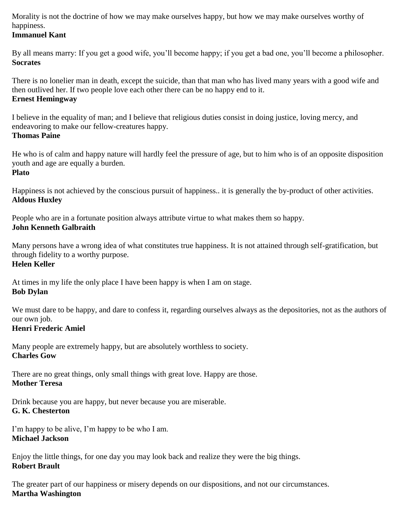Morality is not the doctrine of how we may make ourselves happy, but how we may make ourselves worthy of happiness.

# **Immanuel Kant**

By all means marry: If you get a good wife, you'll become happy; if you get a bad one, you'll become a philosopher. **Socrates**

There is no lonelier man in death, except the suicide, than that man who has lived many years with a good wife and then outlived her. If two people love each other there can be no happy end to it. **Ernest Hemingway**

I believe in the equality of man; and I believe that religious duties consist in doing justice, loving mercy, and endeavoring to make our fellow-creatures happy.

# **Thomas Paine**

He who is of calm and happy nature will hardly feel the pressure of age, but to him who is of an opposite disposition youth and age are equally a burden.

# **Plato**

Happiness is not achieved by the conscious pursuit of happiness.. it is generally the by-product of other activities. **Aldous Huxley**

People who are in a fortunate position always attribute virtue to what makes them so happy. **John Kenneth Galbraith**

Many persons have a wrong idea of what constitutes true happiness. It is not attained through self-gratification, but through fidelity to a worthy purpose. **Helen Keller**

At times in my life the only place I have been happy is when I am on stage. **Bob Dylan**

We must dare to be happy, and dare to confess it, regarding ourselves always as the depositories, not as the authors of our own job.

# **Henri Frederic Amiel**

Many people are extremely happy, but are absolutely worthless to society. **Charles Gow**

There are no great things, only small things with great love. Happy are those. **Mother Teresa**

Drink because you are happy, but never because you are miserable. **G. K. Chesterton**

I'm happy to be alive, I'm happy to be who I am. **Michael Jackson**

Enjoy the little things, for one day you may look back and realize they were the big things. **Robert Brault**

The greater part of our happiness or misery depends on our dispositions, and not our circumstances. **Martha Washington**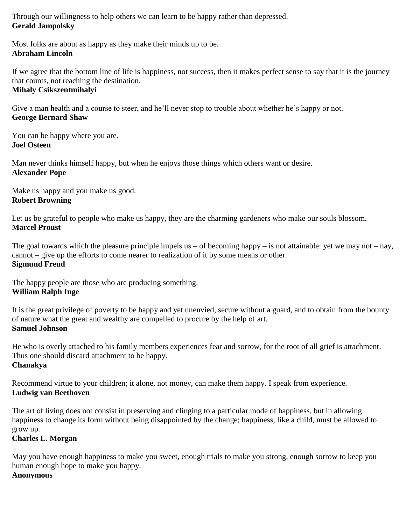Through our willingness to help others we can learn to be happy rather than depressed. **Gerald Jampolsky**

Most folks are about as happy as they make their minds up to be. **Abraham Lincoln**

If we agree that the bottom line of life is happiness, not success, then it makes perfect sense to say that it is the journey that counts, not reaching the destination. **Mihaly Csikszentmihalyi**

Give a man health and a course to steer, and he'll never stop to trouble about whether he's happy or not. **George Bernard Shaw**

You can be happy where you are. **Joel Osteen**

Man never thinks himself happy, but when he enjoys those things which others want or desire. **Alexander Pope**

Make us happy and you make us good. **Robert Browning**

Let us be grateful to people who make us happy, they are the charming gardeners who make our souls blossom. **Marcel Proust**

The goal towards which the pleasure principle impels us  $-$  of becoming happy  $-$  is not attainable: yet we may not  $-$  nay, cannot – give up the efforts to come nearer to realization of it by some means or other. **Sigmund Freud**

The happy people are those who are producing something. **William Ralph Inge**

It is the great privilege of poverty to be happy and yet unenvied, secure without a guard, and to obtain from the bounty of nature what the great and wealthy are compelled to procure by the help of art. **Samuel Johnson**

He who is overly attached to his family members experiences fear and sorrow, for the root of all grief is attachment. Thus one should discard attachment to be happy.

# **Chanakya**

Recommend virtue to your children; it alone, not money, can make them happy. I speak from experience. **Ludwig van Beethoven**

The art of living does not consist in preserving and clinging to a particular mode of happiness, but in allowing happiness to change its form without being disappointed by the change; happiness, like a child, must be allowed to grow up.

#### **Charles L. Morgan**

May you have enough happiness to make you sweet, enough trials to make you strong, enough sorrow to keep you human enough hope to make you happy.

#### **Anonymous**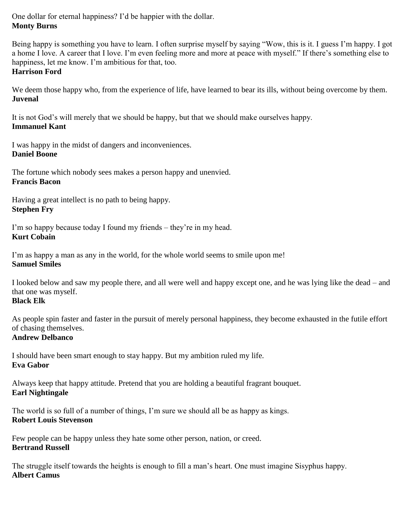One dollar for eternal happiness? I'd be happier with the dollar. **Monty Burns**

Being happy is something you have to learn. I often surprise myself by saying "Wow, this is it. I guess I'm happy. I got a home I love. A career that I love. I'm even feeling more and more at peace with myself." If there's something else to happiness, let me know. I'm ambitious for that, too. **Harrison Ford**

We deem those happy who, from the experience of life, have learned to bear its ills, without being overcome by them. **Juvenal**

It is not God's will merely that we should be happy, but that we should make ourselves happy. **Immanuel Kant**

I was happy in the midst of dangers and inconveniences. **Daniel Boone**

The fortune which nobody sees makes a person happy and unenvied. **Francis Bacon**

Having a great intellect is no path to being happy. **Stephen Fry**

I'm so happy because today I found my friends – they're in my head. **Kurt Cobain**

I'm as happy a man as any in the world, for the whole world seems to smile upon me! **Samuel Smiles**

I looked below and saw my people there, and all were well and happy except one, and he was lying like the dead – and that one was myself.

# **Black Elk**

As people spin faster and faster in the pursuit of merely personal happiness, they become exhausted in the futile effort of chasing themselves. **Andrew Delbanco**

I should have been smart enough to stay happy. But my ambition ruled my life. **Eva Gabor**

Always keep that happy attitude. Pretend that you are holding a beautiful fragrant bouquet. **Earl Nightingale**

The world is so full of a number of things, I'm sure we should all be as happy as kings. **Robert Louis Stevenson**

Few people can be happy unless they hate some other person, nation, or creed. **Bertrand Russell**

The struggle itself towards the heights is enough to fill a man's heart. One must imagine Sisyphus happy. **Albert Camus**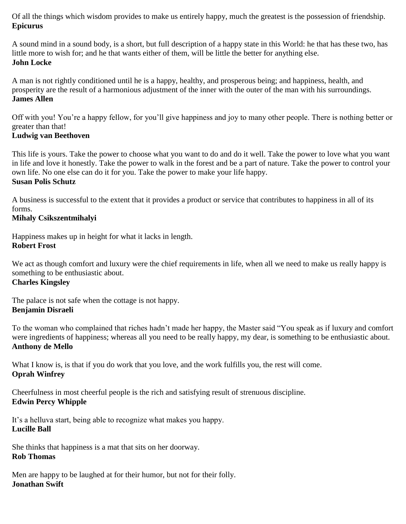Of all the things which wisdom provides to make us entirely happy, much the greatest is the possession of friendship. **Epicurus**

A sound mind in a sound body, is a short, but full description of a happy state in this World: he that has these two, has little more to wish for; and he that wants either of them, will be little the better for anything else. **John Locke**

A man is not rightly conditioned until he is a happy, healthy, and prosperous being; and happiness, health, and prosperity are the result of a harmonious adjustment of the inner with the outer of the man with his surroundings. **James Allen**

Off with you! You're a happy fellow, for you'll give happiness and joy to many other people. There is nothing better or greater than that!

# **Ludwig van Beethoven**

This life is yours. Take the power to choose what you want to do and do it well. Take the power to love what you want in life and love it honestly. Take the power to walk in the forest and be a part of nature. Take the power to control your own life. No one else can do it for you. Take the power to make your life happy. **Susan Polis Schutz**

A business is successful to the extent that it provides a product or service that contributes to happiness in all of its forms.

# **Mihaly Csikszentmihalyi**

Happiness makes up in height for what it lacks in length. **Robert Frost**

We act as though comfort and luxury were the chief requirements in life, when all we need to make us really happy is something to be enthusiastic about.

# **Charles Kingsley**

The palace is not safe when the cottage is not happy. **Benjamin Disraeli**

To the woman who complained that riches hadn't made her happy, the Master said "You speak as if luxury and comfort were ingredients of happiness; whereas all you need to be really happy, my dear, is something to be enthusiastic about. **Anthony de Mello**

What I know is, is that if you do work that you love, and the work fulfills you, the rest will come. **Oprah Winfrey**

Cheerfulness in most cheerful people is the rich and satisfying result of strenuous discipline. **Edwin Percy Whipple**

It's a helluva start, being able to recognize what makes you happy. **Lucille Ball**

She thinks that happiness is a mat that sits on her doorway. **Rob Thomas**

Men are happy to be laughed at for their humor, but not for their folly. **Jonathan Swift**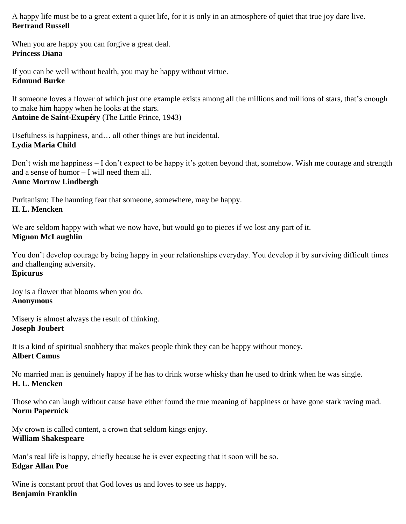A happy life must be to a great extent a quiet life, for it is only in an atmosphere of quiet that true joy dare live. **Bertrand Russell**

When you are happy you can forgive a great deal. **Princess Diana**

If you can be well without health, you may be happy without virtue. **Edmund Burke**

If someone loves a flower of which just one example exists among all the millions and millions of stars, that's enough to make him happy when he looks at the stars. **Antoine de Saint-Exupéry** (The Little Prince, 1943)

Usefulness is happiness, and… all other things are but incidental. **Lydia Maria Child**

Don't wish me happiness – I don't expect to be happy it's gotten beyond that, somehow. Wish me courage and strength and a sense of humor – I will need them all. **Anne Morrow Lindbergh**

Puritanism: The haunting fear that someone, somewhere, may be happy. **H. L. Mencken**

We are seldom happy with what we now have, but would go to pieces if we lost any part of it. **Mignon McLaughlin**

You don't develop courage by being happy in your relationships everyday. You develop it by surviving difficult times and challenging adversity.

# **Epicurus**

Joy is a flower that blooms when you do. **Anonymous**

Misery is almost always the result of thinking. **Joseph Joubert**

It is a kind of spiritual snobbery that makes people think they can be happy without money. **Albert Camus**

No married man is genuinely happy if he has to drink worse whisky than he used to drink when he was single. **H. L. Mencken**

Those who can laugh without cause have either found the true meaning of happiness or have gone stark raving mad. **Norm Papernick**

My crown is called content, a crown that seldom kings enjoy. **William Shakespeare**

Man's real life is happy, chiefly because he is ever expecting that it soon will be so. **Edgar Allan Poe**

Wine is constant proof that God loves us and loves to see us happy. **Benjamin Franklin**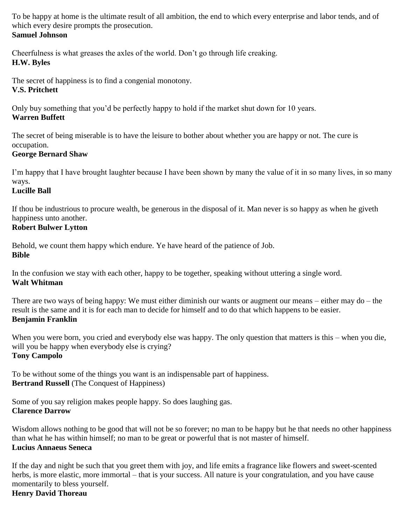To be happy at home is the ultimate result of all ambition, the end to which every enterprise and labor tends, and of which every desire prompts the prosecution. **Samuel Johnson**

Cheerfulness is what greases the axles of the world. Don't go through life creaking. **H.W. Byles**

The secret of happiness is to find a congenial monotony. **V.S. Pritchett**

Only buy something that you'd be perfectly happy to hold if the market shut down for 10 years. **Warren Buffett**

The secret of being miserable is to have the leisure to bother about whether you are happy or not. The cure is occupation.

# **George Bernard Shaw**

I'm happy that I have brought laughter because I have been shown by many the value of it in so many lives, in so many ways.

# **Lucille Ball**

If thou be industrious to procure wealth, be generous in the disposal of it. Man never is so happy as when he giveth happiness unto another.

# **Robert Bulwer Lytton**

Behold, we count them happy which endure. Ye have heard of the patience of Job. **Bible**

In the confusion we stay with each other, happy to be together, speaking without uttering a single word. **Walt Whitman**

There are two ways of being happy: We must either diminish our wants or augment our means – either may do – the result is the same and it is for each man to decide for himself and to do that which happens to be easier. **Benjamin Franklin**

When you were born, you cried and everybody else was happy. The only question that matters is this – when you die, will you be happy when everybody else is crying? **Tony Campolo**

To be without some of the things you want is an indispensable part of happiness. **Bertrand Russell** (The Conquest of Happiness)

Some of you say religion makes people happy. So does laughing gas. **Clarence Darrow**

Wisdom allows nothing to be good that will not be so forever; no man to be happy but he that needs no other happiness than what he has within himself; no man to be great or powerful that is not master of himself. **Lucius Annaeus Seneca**

If the day and night be such that you greet them with joy, and life emits a fragrance like flowers and sweet-scented herbs, is more elastic, more immortal – that is your success. All nature is your congratulation, and you have cause momentarily to bless yourself.

#### **Henry David Thoreau**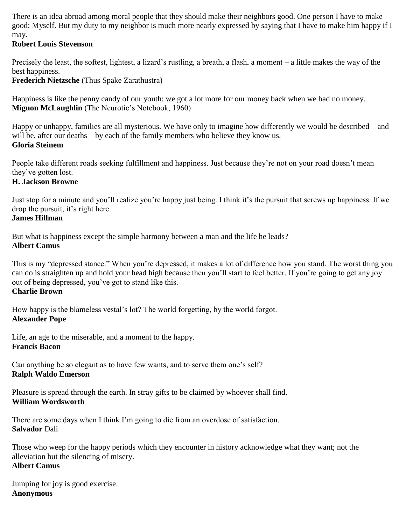There is an idea abroad among moral people that they should make their neighbors good. One person I have to make good: Myself. But my duty to my neighbor is much more nearly expressed by saying that I have to make him happy if I may.

### **Robert Louis Stevenson**

Precisely the least, the softest, lightest, a lizard's rustling, a breath, a flash, a moment – a little makes the way of the best happiness.

**Frederich Nietzsche** (Thus Spake Zarathustra)

Happiness is like the penny candy of our youth: we got a lot more for our money back when we had no money. **Mignon McLaughlin** (The Neurotic's Notebook, 1960)

Happy or unhappy, families are all mysterious. We have only to imagine how differently we would be described – and will be, after our deaths – by each of the family members who believe they know us. **Gloria Steinem**

People take different roads seeking fulfillment and happiness. Just because they're not on your road doesn't mean they've gotten lost.

# **H. Jackson Browne**

Just stop for a minute and you'll realize you're happy just being. I think it's the pursuit that screws up happiness. If we drop the pursuit, it's right here.

# **James Hillman**

But what is happiness except the simple harmony between a man and the life he leads? **Albert Camus**

This is my "depressed stance." When you're depressed, it makes a lot of difference how you stand. The worst thing you can do is straighten up and hold your head high because then you'll start to feel better. If you're going to get any joy out of being depressed, you've got to stand like this.

# **Charlie Brown**

How happy is the blameless vestal's lot? The world forgetting, by the world forgot. **Alexander Pope**

Life, an age to the miserable, and a moment to the happy. **Francis Bacon**

Can anything be so elegant as to have few wants, and to serve them one's self? **Ralph Waldo Emerson**

Pleasure is spread through the earth. In stray gifts to be claimed by whoever shall find. **William Wordsworth**

There are some days when I think I'm going to die from an overdose of satisfaction. **Salvador** Dali

Those who weep for the happy periods which they encounter in history acknowledge what they want; not the alleviation but the silencing of misery. **Albert Camus**

Jumping for joy is good exercise. **Anonymous**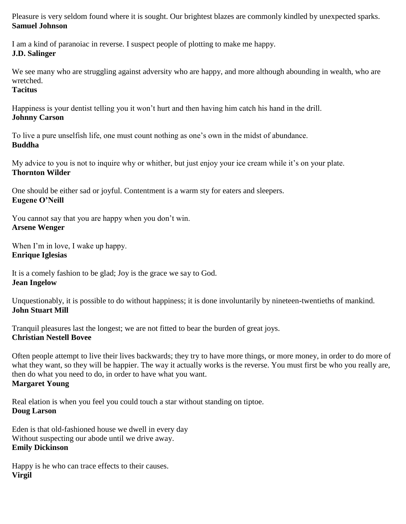Pleasure is very seldom found where it is sought. Our brightest blazes are commonly kindled by unexpected sparks. **Samuel Johnson**

I am a kind of paranoiac in reverse. I suspect people of plotting to make me happy. **J.D. Salinger**

We see many who are struggling against adversity who are happy, and more although abounding in wealth, who are wretched.

#### **Tacitus**

Happiness is your dentist telling you it won't hurt and then having him catch his hand in the drill. **Johnny Carson**

To live a pure unselfish life, one must count nothing as one's own in the midst of abundance. **Buddha**

My advice to you is not to inquire why or whither, but just enjoy your ice cream while it's on your plate. **Thornton Wilder**

One should be either sad or joyful. Contentment is a warm sty for eaters and sleepers. **Eugene O'Neill**

You cannot say that you are happy when you don't win. **Arsene Wenger**

When I'm in love, I wake up happy. **Enrique Iglesias**

It is a comely fashion to be glad; Joy is the grace we say to God. **Jean Ingelow**

Unquestionably, it is possible to do without happiness; it is done involuntarily by nineteen-twentieths of mankind. **John Stuart Mill**

Tranquil pleasures last the longest; we are not fitted to bear the burden of great joys. **Christian Nestell Bovee**

Often people attempt to live their lives backwards; they try to have more things, or more money, in order to do more of what they want, so they will be happier. The way it actually works is the reverse. You must first be who you really are, then do what you need to do, in order to have what you want. **Margaret Young**

Real elation is when you feel you could touch a star without standing on tiptoe. **Doug Larson**

Eden is that old-fashioned house we dwell in every day Without suspecting our abode until we drive away. **Emily Dickinson**

Happy is he who can trace effects to their causes. **Virgil**